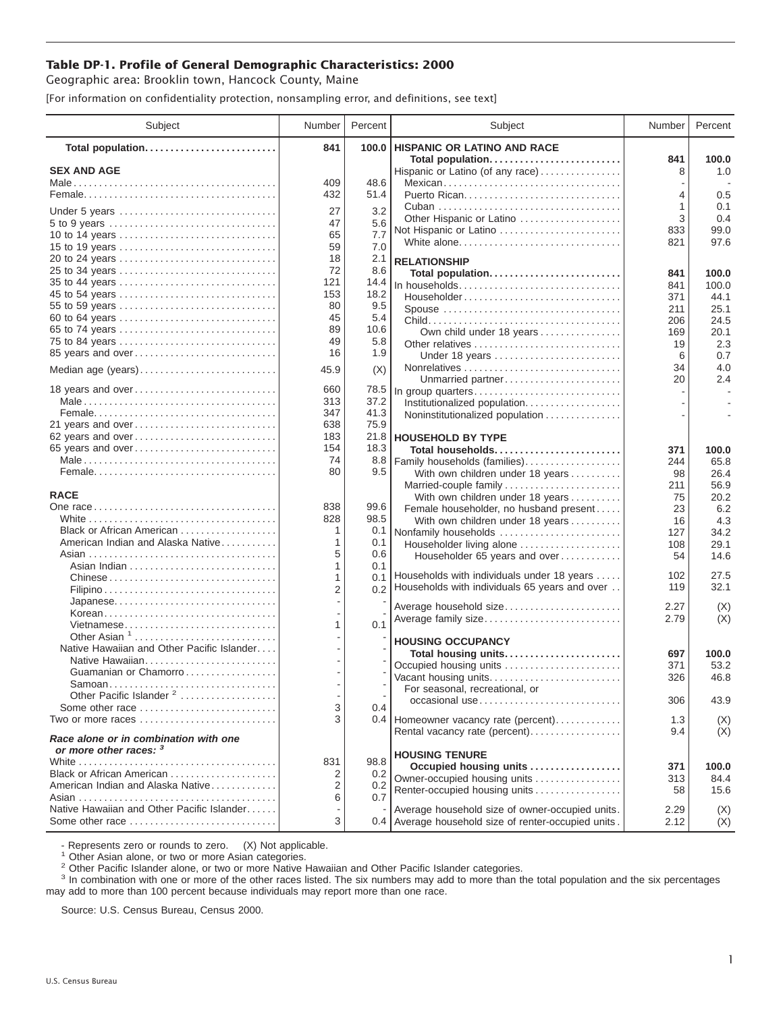## **Table DP-1. Profile of General Demographic Characteristics: 2000**

Geographic area: Brooklin town, Hancock County, Maine

[For information on confidentiality protection, nonsampling error, and definitions, see text]

| 841<br>100.0<br>HISPANIC OR LATINO AND RACE<br>Total population<br>Total population<br>841<br>100.0<br><b>SEX AND AGE</b><br>1.0<br>Hispanic or Latino (of any race)<br>8<br>48.6<br>409<br>Mexican<br>0.5<br>432<br>51.4<br>4<br>0.1<br>1<br>27<br>3.2<br>Under 5 years<br>3<br>0.4<br>Other Hispanic or Latino<br>47<br>5.6<br>5 to 9 years<br>99.0<br>833<br>Not Hispanic or Latino<br>65<br>7.7<br>10 to 14 years<br>97.6<br>White alone<br>821<br>7.0<br>59<br>15 to 19 years<br>18<br>2.1<br>20 to 24 years<br><b>RELATIONSHIP</b><br>72<br>8.6<br>25 to 34 years<br>Total population<br>841<br>100.0<br>35 to 44 years<br>121<br>14.4<br>In households<br>841<br>100.0<br>153<br>18.2<br>45 to 54 years<br>Householder<br>371<br>44.1<br>80<br>9.5<br>55 to 59 years<br>25.1<br>Spouse<br>211<br>45<br>5.4<br>60 to 64 years<br>24.5<br>206<br>89<br>10.6<br>65 to 74 years<br>Own child under 18 years<br>20.1<br>169<br>49<br>5.8<br>75 to 84 years<br>Other relatives<br>2.3<br>19<br>16<br>1.9<br>85 years and over<br>0.7<br>Under 18 years<br>6<br>4.0<br>34<br>(X)<br>Median age (years)<br>45.9<br>20<br>2.4<br>Unmarried partner<br>18 years and over<br>660<br>78.5<br>In group quarters<br>313<br>37.2<br>Institutionalized population.<br>41.3<br>347<br>Noninstitutionalized population<br>75.9<br>21 years and over<br>638<br>21.8<br>62 years and over<br>183<br><b>HOUSEHOLD BY TYPE</b><br>154<br>18.3<br>65 years and over<br>Total households<br>371<br>100.0<br>74<br>8.8<br>Family households (families)<br>65.8<br>244<br>80<br>9.5<br>26.4<br>With own children under 18 years<br>98<br>56.9<br>Married-couple family<br>211<br><b>RACE</b><br>20.2<br>With own children under 18 years<br>75<br>838<br>99.6<br>23<br>6.2<br>Female householder, no husband present<br>828<br>98.5<br>4.3<br>With own children under 18 years<br>16<br>Black or African American<br>1<br>0.1<br>Nonfamily households<br>34.2<br>127<br>American Indian and Alaska Native<br>1<br>0.1<br>29.1<br>Householder living alone<br>108<br>5<br>0.6<br>14.6<br>Householder 65 years and over<br>54<br>1<br>0.1<br>Households with individuals under 18 years<br>27.5<br>102<br>Chinese<br>1<br>0.1<br>0.2 Households with individuals 65 years and over<br>32.1<br>119<br>$\overline{2}$<br>Japanese<br>Average household size<br>2.27<br>(X)<br>Korean<br>(X)<br>Average family size<br>2.79<br>0.1<br>Vietnamese<br>1<br>Other Asian $1, \ldots, \ldots, \ldots, \ldots, \ldots, \ldots$<br><b>HOUSING OCCUPANCY</b><br>Native Hawaiian and Other Pacific Islander<br>100.0<br>Total housing units<br>697<br>Occupied housing units<br>53.2<br>371<br>Guamanian or Chamorro<br>46.8<br>Vacant housing units<br>326<br>For seasonal, recreational, or<br>Other Pacific Islander <sup>2</sup><br>306<br>43.9<br>occasional use<br>3<br>Some other race<br>0.4<br>3<br>Two or more races<br>0.4 Homeowner vacancy rate (percent)<br>1.3<br>(X)<br>(X)<br>Rental vacancy rate (percent)<br>9.4<br>Race alone or in combination with one<br>or more other races: 3<br><b>HOUSING TENURE</b><br>831<br>98.8<br>Occupied housing units<br>371<br>100.0<br>Black or African American<br>0.2<br>2<br>Owner-occupied housing units<br>313<br>84.4<br>American Indian and Alaska Native<br>2<br>0.2<br>Renter-occupied housing units<br>15.6<br>58<br>0.7<br>6<br>Native Hawaiian and Other Pacific Islander<br>Average household size of owner-occupied units.<br>2.29<br>(X) | Subject         | Number | Percent | Subject                                              | Number | Percent |
|-----------------------------------------------------------------------------------------------------------------------------------------------------------------------------------------------------------------------------------------------------------------------------------------------------------------------------------------------------------------------------------------------------------------------------------------------------------------------------------------------------------------------------------------------------------------------------------------------------------------------------------------------------------------------------------------------------------------------------------------------------------------------------------------------------------------------------------------------------------------------------------------------------------------------------------------------------------------------------------------------------------------------------------------------------------------------------------------------------------------------------------------------------------------------------------------------------------------------------------------------------------------------------------------------------------------------------------------------------------------------------------------------------------------------------------------------------------------------------------------------------------------------------------------------------------------------------------------------------------------------------------------------------------------------------------------------------------------------------------------------------------------------------------------------------------------------------------------------------------------------------------------------------------------------------------------------------------------------------------------------------------------------------------------------------------------------------------------------------------------------------------------------------------------------------------------------------------------------------------------------------------------------------------------------------------------------------------------------------------------------------------------------------------------------------------------------------------------------------------------------------------------------------------------------------------------------------------------------------------------------------------------------------------------------------------------------------------------------------------------------------------------------------------------------------------------------------------------------------------------------------------------------------------------------------------------------------------------------------------------------------------------------------------------------------------------------------------------------------------------------------------------------------------------------------------------------------------------------------------------------------------------------------------------------------------------------------------------------------------------------------------------------------------------------------------------------------------------------------|-----------------|--------|---------|------------------------------------------------------|--------|---------|
|                                                                                                                                                                                                                                                                                                                                                                                                                                                                                                                                                                                                                                                                                                                                                                                                                                                                                                                                                                                                                                                                                                                                                                                                                                                                                                                                                                                                                                                                                                                                                                                                                                                                                                                                                                                                                                                                                                                                                                                                                                                                                                                                                                                                                                                                                                                                                                                                                                                                                                                                                                                                                                                                                                                                                                                                                                                                                                                                                                                                                                                                                                                                                                                                                                                                                                                                                                                                                                                                             |                 |        |         |                                                      |        |         |
|                                                                                                                                                                                                                                                                                                                                                                                                                                                                                                                                                                                                                                                                                                                                                                                                                                                                                                                                                                                                                                                                                                                                                                                                                                                                                                                                                                                                                                                                                                                                                                                                                                                                                                                                                                                                                                                                                                                                                                                                                                                                                                                                                                                                                                                                                                                                                                                                                                                                                                                                                                                                                                                                                                                                                                                                                                                                                                                                                                                                                                                                                                                                                                                                                                                                                                                                                                                                                                                                             |                 |        |         |                                                      |        |         |
|                                                                                                                                                                                                                                                                                                                                                                                                                                                                                                                                                                                                                                                                                                                                                                                                                                                                                                                                                                                                                                                                                                                                                                                                                                                                                                                                                                                                                                                                                                                                                                                                                                                                                                                                                                                                                                                                                                                                                                                                                                                                                                                                                                                                                                                                                                                                                                                                                                                                                                                                                                                                                                                                                                                                                                                                                                                                                                                                                                                                                                                                                                                                                                                                                                                                                                                                                                                                                                                                             |                 |        |         |                                                      |        |         |
|                                                                                                                                                                                                                                                                                                                                                                                                                                                                                                                                                                                                                                                                                                                                                                                                                                                                                                                                                                                                                                                                                                                                                                                                                                                                                                                                                                                                                                                                                                                                                                                                                                                                                                                                                                                                                                                                                                                                                                                                                                                                                                                                                                                                                                                                                                                                                                                                                                                                                                                                                                                                                                                                                                                                                                                                                                                                                                                                                                                                                                                                                                                                                                                                                                                                                                                                                                                                                                                                             |                 |        |         |                                                      |        |         |
|                                                                                                                                                                                                                                                                                                                                                                                                                                                                                                                                                                                                                                                                                                                                                                                                                                                                                                                                                                                                                                                                                                                                                                                                                                                                                                                                                                                                                                                                                                                                                                                                                                                                                                                                                                                                                                                                                                                                                                                                                                                                                                                                                                                                                                                                                                                                                                                                                                                                                                                                                                                                                                                                                                                                                                                                                                                                                                                                                                                                                                                                                                                                                                                                                                                                                                                                                                                                                                                                             |                 |        |         |                                                      |        |         |
|                                                                                                                                                                                                                                                                                                                                                                                                                                                                                                                                                                                                                                                                                                                                                                                                                                                                                                                                                                                                                                                                                                                                                                                                                                                                                                                                                                                                                                                                                                                                                                                                                                                                                                                                                                                                                                                                                                                                                                                                                                                                                                                                                                                                                                                                                                                                                                                                                                                                                                                                                                                                                                                                                                                                                                                                                                                                                                                                                                                                                                                                                                                                                                                                                                                                                                                                                                                                                                                                             |                 |        |         |                                                      |        |         |
|                                                                                                                                                                                                                                                                                                                                                                                                                                                                                                                                                                                                                                                                                                                                                                                                                                                                                                                                                                                                                                                                                                                                                                                                                                                                                                                                                                                                                                                                                                                                                                                                                                                                                                                                                                                                                                                                                                                                                                                                                                                                                                                                                                                                                                                                                                                                                                                                                                                                                                                                                                                                                                                                                                                                                                                                                                                                                                                                                                                                                                                                                                                                                                                                                                                                                                                                                                                                                                                                             |                 |        |         |                                                      |        |         |
|                                                                                                                                                                                                                                                                                                                                                                                                                                                                                                                                                                                                                                                                                                                                                                                                                                                                                                                                                                                                                                                                                                                                                                                                                                                                                                                                                                                                                                                                                                                                                                                                                                                                                                                                                                                                                                                                                                                                                                                                                                                                                                                                                                                                                                                                                                                                                                                                                                                                                                                                                                                                                                                                                                                                                                                                                                                                                                                                                                                                                                                                                                                                                                                                                                                                                                                                                                                                                                                                             |                 |        |         |                                                      |        |         |
|                                                                                                                                                                                                                                                                                                                                                                                                                                                                                                                                                                                                                                                                                                                                                                                                                                                                                                                                                                                                                                                                                                                                                                                                                                                                                                                                                                                                                                                                                                                                                                                                                                                                                                                                                                                                                                                                                                                                                                                                                                                                                                                                                                                                                                                                                                                                                                                                                                                                                                                                                                                                                                                                                                                                                                                                                                                                                                                                                                                                                                                                                                                                                                                                                                                                                                                                                                                                                                                                             |                 |        |         |                                                      |        |         |
|                                                                                                                                                                                                                                                                                                                                                                                                                                                                                                                                                                                                                                                                                                                                                                                                                                                                                                                                                                                                                                                                                                                                                                                                                                                                                                                                                                                                                                                                                                                                                                                                                                                                                                                                                                                                                                                                                                                                                                                                                                                                                                                                                                                                                                                                                                                                                                                                                                                                                                                                                                                                                                                                                                                                                                                                                                                                                                                                                                                                                                                                                                                                                                                                                                                                                                                                                                                                                                                                             |                 |        |         |                                                      |        |         |
|                                                                                                                                                                                                                                                                                                                                                                                                                                                                                                                                                                                                                                                                                                                                                                                                                                                                                                                                                                                                                                                                                                                                                                                                                                                                                                                                                                                                                                                                                                                                                                                                                                                                                                                                                                                                                                                                                                                                                                                                                                                                                                                                                                                                                                                                                                                                                                                                                                                                                                                                                                                                                                                                                                                                                                                                                                                                                                                                                                                                                                                                                                                                                                                                                                                                                                                                                                                                                                                                             |                 |        |         |                                                      |        |         |
|                                                                                                                                                                                                                                                                                                                                                                                                                                                                                                                                                                                                                                                                                                                                                                                                                                                                                                                                                                                                                                                                                                                                                                                                                                                                                                                                                                                                                                                                                                                                                                                                                                                                                                                                                                                                                                                                                                                                                                                                                                                                                                                                                                                                                                                                                                                                                                                                                                                                                                                                                                                                                                                                                                                                                                                                                                                                                                                                                                                                                                                                                                                                                                                                                                                                                                                                                                                                                                                                             |                 |        |         |                                                      |        |         |
|                                                                                                                                                                                                                                                                                                                                                                                                                                                                                                                                                                                                                                                                                                                                                                                                                                                                                                                                                                                                                                                                                                                                                                                                                                                                                                                                                                                                                                                                                                                                                                                                                                                                                                                                                                                                                                                                                                                                                                                                                                                                                                                                                                                                                                                                                                                                                                                                                                                                                                                                                                                                                                                                                                                                                                                                                                                                                                                                                                                                                                                                                                                                                                                                                                                                                                                                                                                                                                                                             |                 |        |         |                                                      |        |         |
|                                                                                                                                                                                                                                                                                                                                                                                                                                                                                                                                                                                                                                                                                                                                                                                                                                                                                                                                                                                                                                                                                                                                                                                                                                                                                                                                                                                                                                                                                                                                                                                                                                                                                                                                                                                                                                                                                                                                                                                                                                                                                                                                                                                                                                                                                                                                                                                                                                                                                                                                                                                                                                                                                                                                                                                                                                                                                                                                                                                                                                                                                                                                                                                                                                                                                                                                                                                                                                                                             |                 |        |         |                                                      |        |         |
|                                                                                                                                                                                                                                                                                                                                                                                                                                                                                                                                                                                                                                                                                                                                                                                                                                                                                                                                                                                                                                                                                                                                                                                                                                                                                                                                                                                                                                                                                                                                                                                                                                                                                                                                                                                                                                                                                                                                                                                                                                                                                                                                                                                                                                                                                                                                                                                                                                                                                                                                                                                                                                                                                                                                                                                                                                                                                                                                                                                                                                                                                                                                                                                                                                                                                                                                                                                                                                                                             |                 |        |         |                                                      |        |         |
|                                                                                                                                                                                                                                                                                                                                                                                                                                                                                                                                                                                                                                                                                                                                                                                                                                                                                                                                                                                                                                                                                                                                                                                                                                                                                                                                                                                                                                                                                                                                                                                                                                                                                                                                                                                                                                                                                                                                                                                                                                                                                                                                                                                                                                                                                                                                                                                                                                                                                                                                                                                                                                                                                                                                                                                                                                                                                                                                                                                                                                                                                                                                                                                                                                                                                                                                                                                                                                                                             |                 |        |         |                                                      |        |         |
|                                                                                                                                                                                                                                                                                                                                                                                                                                                                                                                                                                                                                                                                                                                                                                                                                                                                                                                                                                                                                                                                                                                                                                                                                                                                                                                                                                                                                                                                                                                                                                                                                                                                                                                                                                                                                                                                                                                                                                                                                                                                                                                                                                                                                                                                                                                                                                                                                                                                                                                                                                                                                                                                                                                                                                                                                                                                                                                                                                                                                                                                                                                                                                                                                                                                                                                                                                                                                                                                             |                 |        |         |                                                      |        |         |
|                                                                                                                                                                                                                                                                                                                                                                                                                                                                                                                                                                                                                                                                                                                                                                                                                                                                                                                                                                                                                                                                                                                                                                                                                                                                                                                                                                                                                                                                                                                                                                                                                                                                                                                                                                                                                                                                                                                                                                                                                                                                                                                                                                                                                                                                                                                                                                                                                                                                                                                                                                                                                                                                                                                                                                                                                                                                                                                                                                                                                                                                                                                                                                                                                                                                                                                                                                                                                                                                             |                 |        |         |                                                      |        |         |
|                                                                                                                                                                                                                                                                                                                                                                                                                                                                                                                                                                                                                                                                                                                                                                                                                                                                                                                                                                                                                                                                                                                                                                                                                                                                                                                                                                                                                                                                                                                                                                                                                                                                                                                                                                                                                                                                                                                                                                                                                                                                                                                                                                                                                                                                                                                                                                                                                                                                                                                                                                                                                                                                                                                                                                                                                                                                                                                                                                                                                                                                                                                                                                                                                                                                                                                                                                                                                                                                             |                 |        |         |                                                      |        |         |
|                                                                                                                                                                                                                                                                                                                                                                                                                                                                                                                                                                                                                                                                                                                                                                                                                                                                                                                                                                                                                                                                                                                                                                                                                                                                                                                                                                                                                                                                                                                                                                                                                                                                                                                                                                                                                                                                                                                                                                                                                                                                                                                                                                                                                                                                                                                                                                                                                                                                                                                                                                                                                                                                                                                                                                                                                                                                                                                                                                                                                                                                                                                                                                                                                                                                                                                                                                                                                                                                             |                 |        |         |                                                      |        |         |
|                                                                                                                                                                                                                                                                                                                                                                                                                                                                                                                                                                                                                                                                                                                                                                                                                                                                                                                                                                                                                                                                                                                                                                                                                                                                                                                                                                                                                                                                                                                                                                                                                                                                                                                                                                                                                                                                                                                                                                                                                                                                                                                                                                                                                                                                                                                                                                                                                                                                                                                                                                                                                                                                                                                                                                                                                                                                                                                                                                                                                                                                                                                                                                                                                                                                                                                                                                                                                                                                             |                 |        |         |                                                      |        |         |
|                                                                                                                                                                                                                                                                                                                                                                                                                                                                                                                                                                                                                                                                                                                                                                                                                                                                                                                                                                                                                                                                                                                                                                                                                                                                                                                                                                                                                                                                                                                                                                                                                                                                                                                                                                                                                                                                                                                                                                                                                                                                                                                                                                                                                                                                                                                                                                                                                                                                                                                                                                                                                                                                                                                                                                                                                                                                                                                                                                                                                                                                                                                                                                                                                                                                                                                                                                                                                                                                             |                 |        |         |                                                      |        |         |
|                                                                                                                                                                                                                                                                                                                                                                                                                                                                                                                                                                                                                                                                                                                                                                                                                                                                                                                                                                                                                                                                                                                                                                                                                                                                                                                                                                                                                                                                                                                                                                                                                                                                                                                                                                                                                                                                                                                                                                                                                                                                                                                                                                                                                                                                                                                                                                                                                                                                                                                                                                                                                                                                                                                                                                                                                                                                                                                                                                                                                                                                                                                                                                                                                                                                                                                                                                                                                                                                             |                 |        |         |                                                      |        |         |
|                                                                                                                                                                                                                                                                                                                                                                                                                                                                                                                                                                                                                                                                                                                                                                                                                                                                                                                                                                                                                                                                                                                                                                                                                                                                                                                                                                                                                                                                                                                                                                                                                                                                                                                                                                                                                                                                                                                                                                                                                                                                                                                                                                                                                                                                                                                                                                                                                                                                                                                                                                                                                                                                                                                                                                                                                                                                                                                                                                                                                                                                                                                                                                                                                                                                                                                                                                                                                                                                             |                 |        |         |                                                      |        |         |
|                                                                                                                                                                                                                                                                                                                                                                                                                                                                                                                                                                                                                                                                                                                                                                                                                                                                                                                                                                                                                                                                                                                                                                                                                                                                                                                                                                                                                                                                                                                                                                                                                                                                                                                                                                                                                                                                                                                                                                                                                                                                                                                                                                                                                                                                                                                                                                                                                                                                                                                                                                                                                                                                                                                                                                                                                                                                                                                                                                                                                                                                                                                                                                                                                                                                                                                                                                                                                                                                             |                 |        |         |                                                      |        |         |
|                                                                                                                                                                                                                                                                                                                                                                                                                                                                                                                                                                                                                                                                                                                                                                                                                                                                                                                                                                                                                                                                                                                                                                                                                                                                                                                                                                                                                                                                                                                                                                                                                                                                                                                                                                                                                                                                                                                                                                                                                                                                                                                                                                                                                                                                                                                                                                                                                                                                                                                                                                                                                                                                                                                                                                                                                                                                                                                                                                                                                                                                                                                                                                                                                                                                                                                                                                                                                                                                             |                 |        |         |                                                      |        |         |
|                                                                                                                                                                                                                                                                                                                                                                                                                                                                                                                                                                                                                                                                                                                                                                                                                                                                                                                                                                                                                                                                                                                                                                                                                                                                                                                                                                                                                                                                                                                                                                                                                                                                                                                                                                                                                                                                                                                                                                                                                                                                                                                                                                                                                                                                                                                                                                                                                                                                                                                                                                                                                                                                                                                                                                                                                                                                                                                                                                                                                                                                                                                                                                                                                                                                                                                                                                                                                                                                             |                 |        |         |                                                      |        |         |
|                                                                                                                                                                                                                                                                                                                                                                                                                                                                                                                                                                                                                                                                                                                                                                                                                                                                                                                                                                                                                                                                                                                                                                                                                                                                                                                                                                                                                                                                                                                                                                                                                                                                                                                                                                                                                                                                                                                                                                                                                                                                                                                                                                                                                                                                                                                                                                                                                                                                                                                                                                                                                                                                                                                                                                                                                                                                                                                                                                                                                                                                                                                                                                                                                                                                                                                                                                                                                                                                             |                 |        |         |                                                      |        |         |
|                                                                                                                                                                                                                                                                                                                                                                                                                                                                                                                                                                                                                                                                                                                                                                                                                                                                                                                                                                                                                                                                                                                                                                                                                                                                                                                                                                                                                                                                                                                                                                                                                                                                                                                                                                                                                                                                                                                                                                                                                                                                                                                                                                                                                                                                                                                                                                                                                                                                                                                                                                                                                                                                                                                                                                                                                                                                                                                                                                                                                                                                                                                                                                                                                                                                                                                                                                                                                                                                             |                 |        |         |                                                      |        |         |
|                                                                                                                                                                                                                                                                                                                                                                                                                                                                                                                                                                                                                                                                                                                                                                                                                                                                                                                                                                                                                                                                                                                                                                                                                                                                                                                                                                                                                                                                                                                                                                                                                                                                                                                                                                                                                                                                                                                                                                                                                                                                                                                                                                                                                                                                                                                                                                                                                                                                                                                                                                                                                                                                                                                                                                                                                                                                                                                                                                                                                                                                                                                                                                                                                                                                                                                                                                                                                                                                             |                 |        |         |                                                      |        |         |
|                                                                                                                                                                                                                                                                                                                                                                                                                                                                                                                                                                                                                                                                                                                                                                                                                                                                                                                                                                                                                                                                                                                                                                                                                                                                                                                                                                                                                                                                                                                                                                                                                                                                                                                                                                                                                                                                                                                                                                                                                                                                                                                                                                                                                                                                                                                                                                                                                                                                                                                                                                                                                                                                                                                                                                                                                                                                                                                                                                                                                                                                                                                                                                                                                                                                                                                                                                                                                                                                             |                 |        |         |                                                      |        |         |
|                                                                                                                                                                                                                                                                                                                                                                                                                                                                                                                                                                                                                                                                                                                                                                                                                                                                                                                                                                                                                                                                                                                                                                                                                                                                                                                                                                                                                                                                                                                                                                                                                                                                                                                                                                                                                                                                                                                                                                                                                                                                                                                                                                                                                                                                                                                                                                                                                                                                                                                                                                                                                                                                                                                                                                                                                                                                                                                                                                                                                                                                                                                                                                                                                                                                                                                                                                                                                                                                             |                 |        |         |                                                      |        |         |
|                                                                                                                                                                                                                                                                                                                                                                                                                                                                                                                                                                                                                                                                                                                                                                                                                                                                                                                                                                                                                                                                                                                                                                                                                                                                                                                                                                                                                                                                                                                                                                                                                                                                                                                                                                                                                                                                                                                                                                                                                                                                                                                                                                                                                                                                                                                                                                                                                                                                                                                                                                                                                                                                                                                                                                                                                                                                                                                                                                                                                                                                                                                                                                                                                                                                                                                                                                                                                                                                             |                 |        |         |                                                      |        |         |
|                                                                                                                                                                                                                                                                                                                                                                                                                                                                                                                                                                                                                                                                                                                                                                                                                                                                                                                                                                                                                                                                                                                                                                                                                                                                                                                                                                                                                                                                                                                                                                                                                                                                                                                                                                                                                                                                                                                                                                                                                                                                                                                                                                                                                                                                                                                                                                                                                                                                                                                                                                                                                                                                                                                                                                                                                                                                                                                                                                                                                                                                                                                                                                                                                                                                                                                                                                                                                                                                             |                 |        |         |                                                      |        |         |
|                                                                                                                                                                                                                                                                                                                                                                                                                                                                                                                                                                                                                                                                                                                                                                                                                                                                                                                                                                                                                                                                                                                                                                                                                                                                                                                                                                                                                                                                                                                                                                                                                                                                                                                                                                                                                                                                                                                                                                                                                                                                                                                                                                                                                                                                                                                                                                                                                                                                                                                                                                                                                                                                                                                                                                                                                                                                                                                                                                                                                                                                                                                                                                                                                                                                                                                                                                                                                                                                             |                 |        |         |                                                      |        |         |
|                                                                                                                                                                                                                                                                                                                                                                                                                                                                                                                                                                                                                                                                                                                                                                                                                                                                                                                                                                                                                                                                                                                                                                                                                                                                                                                                                                                                                                                                                                                                                                                                                                                                                                                                                                                                                                                                                                                                                                                                                                                                                                                                                                                                                                                                                                                                                                                                                                                                                                                                                                                                                                                                                                                                                                                                                                                                                                                                                                                                                                                                                                                                                                                                                                                                                                                                                                                                                                                                             |                 |        |         |                                                      |        |         |
|                                                                                                                                                                                                                                                                                                                                                                                                                                                                                                                                                                                                                                                                                                                                                                                                                                                                                                                                                                                                                                                                                                                                                                                                                                                                                                                                                                                                                                                                                                                                                                                                                                                                                                                                                                                                                                                                                                                                                                                                                                                                                                                                                                                                                                                                                                                                                                                                                                                                                                                                                                                                                                                                                                                                                                                                                                                                                                                                                                                                                                                                                                                                                                                                                                                                                                                                                                                                                                                                             |                 |        |         |                                                      |        |         |
|                                                                                                                                                                                                                                                                                                                                                                                                                                                                                                                                                                                                                                                                                                                                                                                                                                                                                                                                                                                                                                                                                                                                                                                                                                                                                                                                                                                                                                                                                                                                                                                                                                                                                                                                                                                                                                                                                                                                                                                                                                                                                                                                                                                                                                                                                                                                                                                                                                                                                                                                                                                                                                                                                                                                                                                                                                                                                                                                                                                                                                                                                                                                                                                                                                                                                                                                                                                                                                                                             |                 |        |         |                                                      |        |         |
|                                                                                                                                                                                                                                                                                                                                                                                                                                                                                                                                                                                                                                                                                                                                                                                                                                                                                                                                                                                                                                                                                                                                                                                                                                                                                                                                                                                                                                                                                                                                                                                                                                                                                                                                                                                                                                                                                                                                                                                                                                                                                                                                                                                                                                                                                                                                                                                                                                                                                                                                                                                                                                                                                                                                                                                                                                                                                                                                                                                                                                                                                                                                                                                                                                                                                                                                                                                                                                                                             |                 |        |         |                                                      |        |         |
|                                                                                                                                                                                                                                                                                                                                                                                                                                                                                                                                                                                                                                                                                                                                                                                                                                                                                                                                                                                                                                                                                                                                                                                                                                                                                                                                                                                                                                                                                                                                                                                                                                                                                                                                                                                                                                                                                                                                                                                                                                                                                                                                                                                                                                                                                                                                                                                                                                                                                                                                                                                                                                                                                                                                                                                                                                                                                                                                                                                                                                                                                                                                                                                                                                                                                                                                                                                                                                                                             |                 |        |         |                                                      |        |         |
|                                                                                                                                                                                                                                                                                                                                                                                                                                                                                                                                                                                                                                                                                                                                                                                                                                                                                                                                                                                                                                                                                                                                                                                                                                                                                                                                                                                                                                                                                                                                                                                                                                                                                                                                                                                                                                                                                                                                                                                                                                                                                                                                                                                                                                                                                                                                                                                                                                                                                                                                                                                                                                                                                                                                                                                                                                                                                                                                                                                                                                                                                                                                                                                                                                                                                                                                                                                                                                                                             |                 |        |         |                                                      |        |         |
|                                                                                                                                                                                                                                                                                                                                                                                                                                                                                                                                                                                                                                                                                                                                                                                                                                                                                                                                                                                                                                                                                                                                                                                                                                                                                                                                                                                                                                                                                                                                                                                                                                                                                                                                                                                                                                                                                                                                                                                                                                                                                                                                                                                                                                                                                                                                                                                                                                                                                                                                                                                                                                                                                                                                                                                                                                                                                                                                                                                                                                                                                                                                                                                                                                                                                                                                                                                                                                                                             |                 |        |         |                                                      |        |         |
|                                                                                                                                                                                                                                                                                                                                                                                                                                                                                                                                                                                                                                                                                                                                                                                                                                                                                                                                                                                                                                                                                                                                                                                                                                                                                                                                                                                                                                                                                                                                                                                                                                                                                                                                                                                                                                                                                                                                                                                                                                                                                                                                                                                                                                                                                                                                                                                                                                                                                                                                                                                                                                                                                                                                                                                                                                                                                                                                                                                                                                                                                                                                                                                                                                                                                                                                                                                                                                                                             |                 |        |         |                                                      |        |         |
|                                                                                                                                                                                                                                                                                                                                                                                                                                                                                                                                                                                                                                                                                                                                                                                                                                                                                                                                                                                                                                                                                                                                                                                                                                                                                                                                                                                                                                                                                                                                                                                                                                                                                                                                                                                                                                                                                                                                                                                                                                                                                                                                                                                                                                                                                                                                                                                                                                                                                                                                                                                                                                                                                                                                                                                                                                                                                                                                                                                                                                                                                                                                                                                                                                                                                                                                                                                                                                                                             |                 |        |         |                                                      |        |         |
|                                                                                                                                                                                                                                                                                                                                                                                                                                                                                                                                                                                                                                                                                                                                                                                                                                                                                                                                                                                                                                                                                                                                                                                                                                                                                                                                                                                                                                                                                                                                                                                                                                                                                                                                                                                                                                                                                                                                                                                                                                                                                                                                                                                                                                                                                                                                                                                                                                                                                                                                                                                                                                                                                                                                                                                                                                                                                                                                                                                                                                                                                                                                                                                                                                                                                                                                                                                                                                                                             |                 |        |         |                                                      |        |         |
|                                                                                                                                                                                                                                                                                                                                                                                                                                                                                                                                                                                                                                                                                                                                                                                                                                                                                                                                                                                                                                                                                                                                                                                                                                                                                                                                                                                                                                                                                                                                                                                                                                                                                                                                                                                                                                                                                                                                                                                                                                                                                                                                                                                                                                                                                                                                                                                                                                                                                                                                                                                                                                                                                                                                                                                                                                                                                                                                                                                                                                                                                                                                                                                                                                                                                                                                                                                                                                                                             |                 |        |         |                                                      |        |         |
|                                                                                                                                                                                                                                                                                                                                                                                                                                                                                                                                                                                                                                                                                                                                                                                                                                                                                                                                                                                                                                                                                                                                                                                                                                                                                                                                                                                                                                                                                                                                                                                                                                                                                                                                                                                                                                                                                                                                                                                                                                                                                                                                                                                                                                                                                                                                                                                                                                                                                                                                                                                                                                                                                                                                                                                                                                                                                                                                                                                                                                                                                                                                                                                                                                                                                                                                                                                                                                                                             |                 |        |         |                                                      |        |         |
|                                                                                                                                                                                                                                                                                                                                                                                                                                                                                                                                                                                                                                                                                                                                                                                                                                                                                                                                                                                                                                                                                                                                                                                                                                                                                                                                                                                                                                                                                                                                                                                                                                                                                                                                                                                                                                                                                                                                                                                                                                                                                                                                                                                                                                                                                                                                                                                                                                                                                                                                                                                                                                                                                                                                                                                                                                                                                                                                                                                                                                                                                                                                                                                                                                                                                                                                                                                                                                                                             |                 |        |         |                                                      |        |         |
|                                                                                                                                                                                                                                                                                                                                                                                                                                                                                                                                                                                                                                                                                                                                                                                                                                                                                                                                                                                                                                                                                                                                                                                                                                                                                                                                                                                                                                                                                                                                                                                                                                                                                                                                                                                                                                                                                                                                                                                                                                                                                                                                                                                                                                                                                                                                                                                                                                                                                                                                                                                                                                                                                                                                                                                                                                                                                                                                                                                                                                                                                                                                                                                                                                                                                                                                                                                                                                                                             |                 |        |         |                                                      |        |         |
|                                                                                                                                                                                                                                                                                                                                                                                                                                                                                                                                                                                                                                                                                                                                                                                                                                                                                                                                                                                                                                                                                                                                                                                                                                                                                                                                                                                                                                                                                                                                                                                                                                                                                                                                                                                                                                                                                                                                                                                                                                                                                                                                                                                                                                                                                                                                                                                                                                                                                                                                                                                                                                                                                                                                                                                                                                                                                                                                                                                                                                                                                                                                                                                                                                                                                                                                                                                                                                                                             |                 |        |         |                                                      |        |         |
|                                                                                                                                                                                                                                                                                                                                                                                                                                                                                                                                                                                                                                                                                                                                                                                                                                                                                                                                                                                                                                                                                                                                                                                                                                                                                                                                                                                                                                                                                                                                                                                                                                                                                                                                                                                                                                                                                                                                                                                                                                                                                                                                                                                                                                                                                                                                                                                                                                                                                                                                                                                                                                                                                                                                                                                                                                                                                                                                                                                                                                                                                                                                                                                                                                                                                                                                                                                                                                                                             |                 |        |         |                                                      |        |         |
|                                                                                                                                                                                                                                                                                                                                                                                                                                                                                                                                                                                                                                                                                                                                                                                                                                                                                                                                                                                                                                                                                                                                                                                                                                                                                                                                                                                                                                                                                                                                                                                                                                                                                                                                                                                                                                                                                                                                                                                                                                                                                                                                                                                                                                                                                                                                                                                                                                                                                                                                                                                                                                                                                                                                                                                                                                                                                                                                                                                                                                                                                                                                                                                                                                                                                                                                                                                                                                                                             | Some other race | 3      |         | 0.4 Average household size of renter-occupied units. | 2.12   | (X)     |

- Represents zero or rounds to zero. (X) Not applicable.<br><sup>1</sup> Other Asian alone, or two or more Asian categories.

<sup>2</sup> Other Pacific Islander alone, or two or more Native Hawaiian and Other Pacific Islander categories.<br><sup>3</sup> In combination with one or more of the other races listed. The six numbers may add to more than the total populati may add to more than 100 percent because individuals may report more than one race.

Source: U.S. Census Bureau, Census 2000.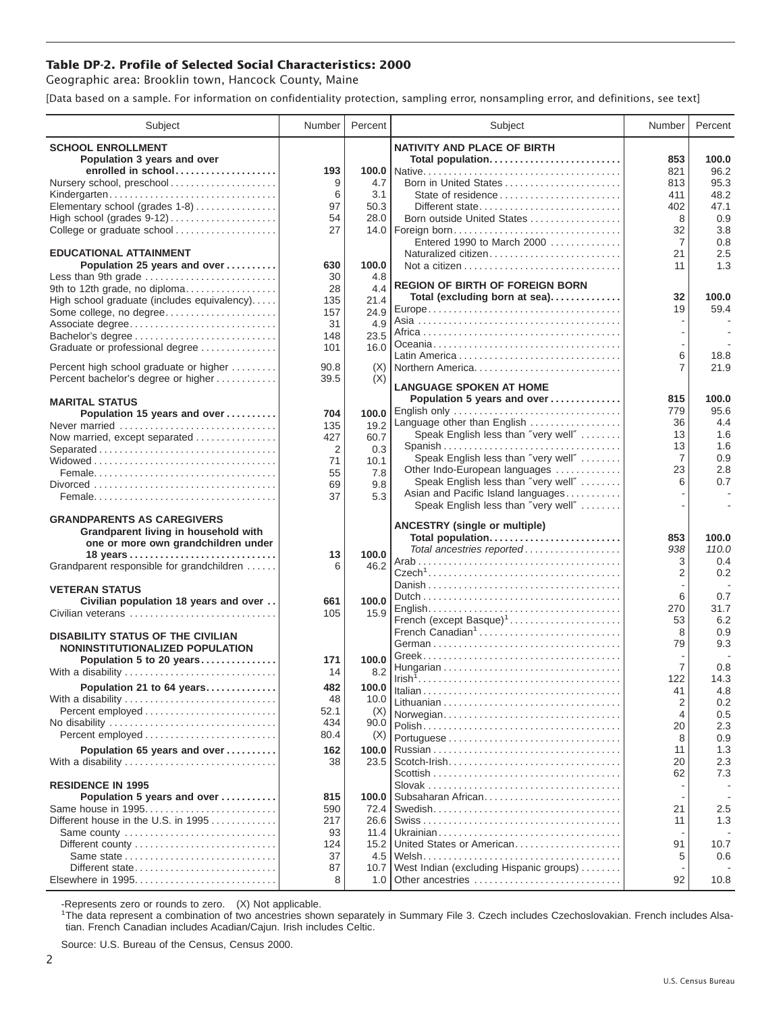## **Table DP-2. Profile of Selected Social Characteristics: 2000**

Geographic area: Brooklin town, Hancock County, Maine

[Data based on a sample. For information on confidentiality protection, sampling error, nonsampling error, and definitions, see text]

| Subject                                                     | Number     | Percent       | Subject                                                              | Number                           | Percent     |
|-------------------------------------------------------------|------------|---------------|----------------------------------------------------------------------|----------------------------------|-------------|
| <b>SCHOOL ENROLLMENT</b>                                    |            |               | <b>NATIVITY AND PLACE OF BIRTH</b>                                   |                                  |             |
| Population 3 years and over                                 |            |               | Total population                                                     | 853                              | 100.0       |
| enrolled in school                                          | 193        |               |                                                                      | 821                              | 96.2        |
| Nursery school, preschool                                   | 9          | 4.7           | Born in United States                                                | 813                              | 95.3        |
| Kindergarten                                                | 6          | 3.1           | State of residence                                                   | 411                              | 48.2        |
| Elementary school (grades 1-8)                              | 97<br>54   | 50.3<br>28.0  | Different state<br>Born outside United States                        | 402<br>8                         | 47.1        |
| College or graduate school                                  | 27         |               | 14.0   Foreign born                                                  | 32                               | 0.9<br>3.8  |
|                                                             |            |               | Entered 1990 to March 2000                                           | 7                                | 0.8         |
| <b>EDUCATIONAL ATTAINMENT</b>                               |            |               | Naturalized citizen                                                  | 21                               | 2.5         |
| Population 25 years and over                                | 630        | 100.0         |                                                                      | 11                               | 1.3         |
| Less than 9th grade                                         | 30         | 4.8           | <b>REGION OF BIRTH OF FOREIGN BORN</b>                               |                                  |             |
| 9th to 12th grade, no diploma                               | 28         | 4.4           | Total (excluding born at sea)                                        | 32                               | 100.0       |
| High school graduate (includes equivalency)                 | 135        | 21.4          |                                                                      | 19                               | 59.4        |
| Some college, no degree<br>Associate degree                 | 157<br>31  | 24.9<br>4.9   |                                                                      |                                  |             |
|                                                             | 148        | 23.5          |                                                                      |                                  |             |
| Graduate or professional degree                             | 101        | 16.0          |                                                                      |                                  |             |
|                                                             |            |               |                                                                      | 6                                | 18.8        |
| Percent high school graduate or higher                      | 90.8       | (X)           | Northern America                                                     | 7                                | 21.9        |
| Percent bachelor's degree or higher                         | 39.5       | (X)           | <b>LANGUAGE SPOKEN AT HOME</b>                                       |                                  |             |
| <b>MARITAL STATUS</b>                                       |            |               | Population 5 years and over                                          | 815                              | 100.0       |
| Population 15 years and over                                | 704        | 100.0         |                                                                      | 779                              | 95.6        |
| Never married                                               | 135        | 19.2          | Language other than English                                          | 36                               | 4.4         |
| Now married, except separated                               | 427        | 60.7          | Speak English less than "very well"                                  | 13                               | 1.6         |
| Separated                                                   | 2          | 0.3           | Spanish                                                              | 13<br>7                          | 1.6<br>0.9  |
|                                                             | 71         | 10.1          | Speak English less than "very well"<br>Other Indo-European languages | 23                               | 2.8         |
|                                                             | 55         | 7.8           | Speak English less than "very well"                                  | 6                                | 0.7         |
|                                                             | 69<br>37   | 9.8<br>5.3    | Asian and Pacific Island languages                                   |                                  |             |
|                                                             |            |               | Speak English less than "very well"                                  |                                  |             |
| <b>GRANDPARENTS AS CAREGIVERS</b>                           |            |               |                                                                      |                                  |             |
| Grandparent living in household with                        |            |               | <b>ANCESTRY (single or multiple)</b><br>Total population             | 853                              | 100.0       |
| one or more own grandchildren under                         |            |               | Total ancestries reported                                            | 938                              | 110.0       |
|                                                             | 13<br>6    | 100.0<br>46.2 |                                                                      | 3                                | 0.4         |
| Grandparent responsible for grandchildren                   |            |               |                                                                      | 2                                | 0.2         |
| <b>VETERAN STATUS</b>                                       |            |               |                                                                      |                                  |             |
| Civilian population 18 years and over                       | 661        | 100.0         |                                                                      | 6                                | 0.7         |
| Civilian veterans                                           | 105        | 15.9          |                                                                      | 270                              | 31.7<br>6.2 |
|                                                             |            |               | French (except Basque) <sup>1</sup><br>French Canadian <sup>1</sup>  | 53<br>8                          | 0.9         |
| <b>DISABILITY STATUS OF THE CIVILIAN</b>                    |            |               |                                                                      | 79                               | 9.3         |
| NONINSTITUTIONALIZED POPULATION<br>Population 5 to 20 years | 171        | 100.0         |                                                                      |                                  |             |
| With a disability                                           | 14         | 8.2           |                                                                      | 7                                | 0.8         |
| Population 21 to 64 years                                   | 482        | 100.0         |                                                                      | 122                              | 14.3        |
| With a disability                                           | 48         | 10.0          |                                                                      | 41                               | 4.8         |
|                                                             | 52.1       | (X)           | Norwegian                                                            | $\overline{2}$<br>$\overline{4}$ | 0.2<br>0.5  |
|                                                             | 434        | 90.0          |                                                                      | 20                               | 2.3         |
|                                                             | 80.4       | (X)           |                                                                      | 8                                | 0.9         |
| Population 65 years and over                                | 162        | 100.0         |                                                                      | 11                               | 1.3         |
| With a disability                                           | 38         | 23.5          |                                                                      | 20                               | 2.3         |
|                                                             |            |               |                                                                      | 62                               | 7.3         |
| <b>RESIDENCE IN 1995</b>                                    |            |               |                                                                      |                                  |             |
| Population 5 years and over                                 | 815        | 100.0         | Subsaharan African                                                   |                                  |             |
| Same house in 1995<br>Different house in the U.S. in 1995   | 590<br>217 | 72.4<br>26.6  |                                                                      | 21<br>11                         | 2.5<br>1.3  |
| Same county                                                 | 93         | 11.4          |                                                                      |                                  |             |
|                                                             | 124        | 15.2          | United States or American                                            | 91                               | 10.7        |
|                                                             | 37         |               |                                                                      | 5                                | 0.6         |
| Different state                                             | 87         | 10.7          | West Indian (excluding Hispanic groups)                              |                                  |             |
|                                                             | 8          |               |                                                                      | 92                               | 10.8        |

-Represents zero or rounds to zero. (X) Not applicable. 1 The data represent a combination of two ancestries shown separately in Summary File 3. Czech includes Czechoslovakian. French includes Alsatian. French Canadian includes Acadian/Cajun. Irish includes Celtic.

Source: U.S. Bureau of the Census, Census 2000.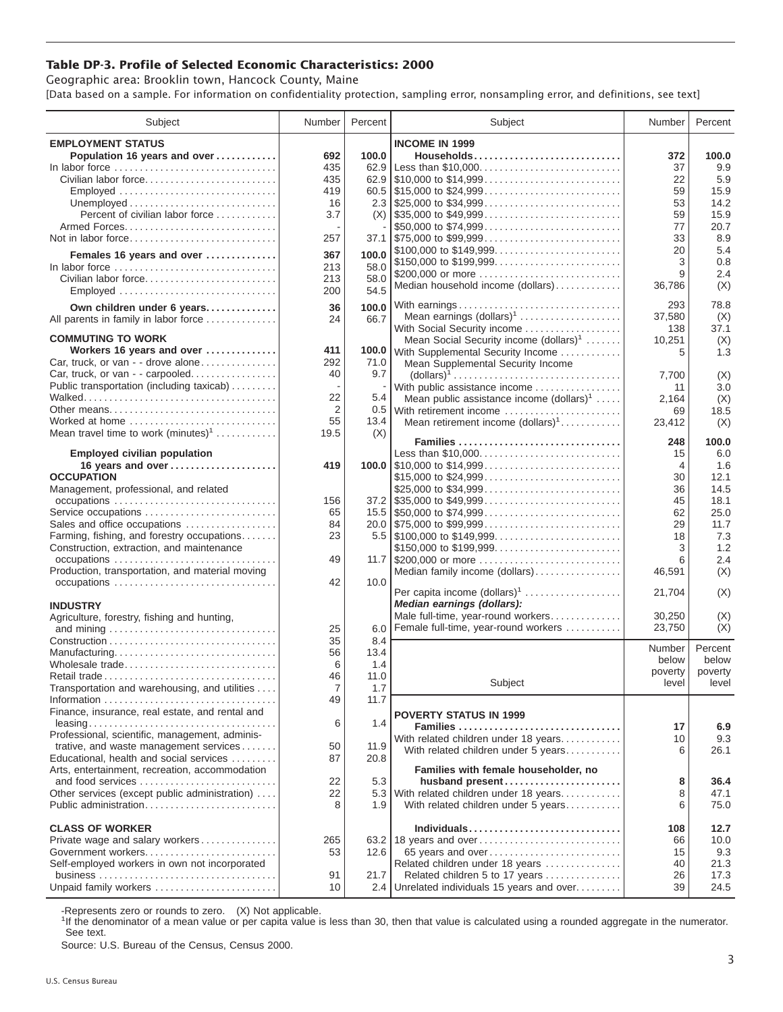## **Table DP-3. Profile of Selected Economic Characteristics: 2000**

Geographic area: Brooklin town, Hancock County, Maine [Data based on a sample. For information on confidentiality protection, sampling error, nonsampling error, and definitions, see text]

| Subject                                                                         | Number         | Percent | Subject                                                                                | Number         | Percent |
|---------------------------------------------------------------------------------|----------------|---------|----------------------------------------------------------------------------------------|----------------|---------|
| <b>EMPLOYMENT STATUS</b>                                                        |                |         | <b>INCOME IN 1999</b>                                                                  |                |         |
| Population 16 years and over                                                    | 692            | 100.0   | Households                                                                             | 372            | 100.0   |
| In labor force                                                                  | 435            | 62.9    |                                                                                        | 37             | 9.9     |
| Civilian labor force                                                            | 435            |         |                                                                                        | 22             | 5.9     |
|                                                                                 | 419            |         |                                                                                        | 59             | 15.9    |
| Employed                                                                        |                |         |                                                                                        |                |         |
|                                                                                 | 16             |         |                                                                                        | 53             | 14.2    |
| Percent of civilian labor force                                                 | 3.7            |         | $(X)$ \\ \$35,000 to \$49,999                                                          | 59             | 15.9    |
|                                                                                 |                |         | \$50,000 to \$74,999                                                                   | 77             | 20.7    |
| Not in labor force                                                              | 257            |         |                                                                                        | 33             | 8.9     |
| Females 16 years and over                                                       | 367            | 100.0   | \$100,000 to \$149,999                                                                 | 20             | 5.4     |
| In labor force $\ldots \ldots \ldots \ldots \ldots \ldots \ldots \ldots \ldots$ | 213            | 58.0    | \$150,000 to \$199,999                                                                 | 3              | 0.8     |
| Civilian labor force                                                            | 213            | 58.0    | \$200,000 or more                                                                      | 9              | 2.4     |
| Employed                                                                        | 200            | 54.5    | Median household income (dollars)                                                      | 36,786         | (X)     |
|                                                                                 |                |         |                                                                                        |                |         |
| Own children under 6 years                                                      | 36             | 100.0   | With earnings                                                                          | 293            | 78.8    |
| All parents in family in labor force                                            | 24             | 66.7    | Mean earnings $(dollars)1$                                                             | 37,580         | (X)     |
|                                                                                 |                |         | With Social Security income                                                            | 138            | 37.1    |
| <b>COMMUTING TO WORK</b>                                                        |                |         | Mean Social Security income $(dollars)^1$                                              | 10,251         | (X)     |
| Workers 16 years and over                                                       | 411            |         | 100.0 With Supplemental Security Income                                                | 5              | 1.3     |
| Car, truck, or van - - drove alone                                              | 292            | 71.0    | Mean Supplemental Security Income                                                      |                |         |
| Car, truck, or van - - carpooled                                                | 40             | 9.7     | $\text{(dollars)}^1 \dots \dots \dots \dots \dots \dots \dots \dots \dots \dots \dots$ | 7,700          | (X)     |
| Public transportation (including taxicab)                                       |                |         | With public assistance income                                                          | 11             | 3.0     |
|                                                                                 | 22             | 5.4     | Mean public assistance income $(dollars)1 \ldots$ .                                    | 2,164          | (X)     |
| Other means                                                                     | $\overline{2}$ |         | 0.5 With retirement income                                                             | 69             | 18.5    |
| Worked at home                                                                  | 55             | 13.4    | Mean retirement income $(dollars)1$                                                    | 23,412         | (X)     |
| Mean travel time to work $(minutes)^1$                                          | 19.5           | (X)     |                                                                                        |                |         |
|                                                                                 |                |         |                                                                                        | 248            | 100.0   |
| <b>Employed civilian population</b>                                             |                |         | Less than \$10,000                                                                     | 15             | 6.0     |
| 16 years and over                                                               | 419            |         |                                                                                        | $\overline{4}$ | 1.6     |
| <b>OCCUPATION</b>                                                               |                |         | \$15,000 to \$24,999                                                                   | 30             | 12.1    |
| Management, professional, and related                                           |                |         | \$25,000 to \$34,999                                                                   | 36             | 14.5    |
|                                                                                 | 156            |         | $37.2$ \ \$35,000 to \$49,999                                                          | 45             | 18.1    |
| Service occupations                                                             | 65             |         |                                                                                        | 62             | 25.0    |
| Sales and office occupations                                                    | 84             |         |                                                                                        | 29             | 11.7    |
| Farming, fishing, and forestry occupations                                      | 23             |         |                                                                                        | 18             | 7.3     |
| Construction, extraction, and maintenance                                       |                |         |                                                                                        | 3              | 1.2     |
|                                                                                 |                |         | \$150,000 to \$199,999                                                                 |                |         |
| occupations                                                                     | 49             |         | 11.7 \$200,000 or more                                                                 | 6              | 2.4     |
| Production, transportation, and material moving                                 |                |         | Median family income (dollars)                                                         | 46,591         | (X)     |
| occupations                                                                     | 42             | 10.0    | Per capita income $(dollars)1$                                                         | 21,704         | (X)     |
|                                                                                 |                |         | Median earnings (dollars):                                                             |                |         |
| <b>INDUSTRY</b>                                                                 |                |         |                                                                                        | 30.250         |         |
| Agriculture, forestry, fishing and hunting,                                     |                |         | Male full-time, year-round workers                                                     |                | (X)     |
|                                                                                 | 25             | 6.0     | Female full-time, year-round workers                                                   | 23,750         | (X)     |
|                                                                                 | 35             | 8.4     |                                                                                        | Number         | Percent |
| Manufacturing                                                                   | 56             | 13.4    |                                                                                        | below          | below   |
| Wholesale trade                                                                 | 6              | 1.4     |                                                                                        | poverty        | poverty |
| Retail trade                                                                    | 46             | 11.0    | Subject                                                                                | level          | level   |
| Transportation and warehousing, and utilities                                   | $\overline{7}$ | 1.7     |                                                                                        |                |         |
|                                                                                 | 49             | 11.7    |                                                                                        |                |         |
| Finance, insurance, real estate, and rental and                                 |                |         | <b>POVERTY STATUS IN 1999</b>                                                          |                |         |
|                                                                                 | 6              | 1.4     | Families                                                                               | 17             | 6.9     |
| Professional, scientific, management, adminis-                                  |                |         | With related children under 18 years                                                   | 10             | 9.3     |
| trative, and waste management services                                          | 50             | 11.9    | With related children under 5 years                                                    | 6              | 26.1    |
| Educational, health and social services                                         | 87             | 20.8    |                                                                                        |                |         |
| Arts, entertainment, recreation, accommodation                                  |                |         | Families with female householder, no                                                   |                |         |
| and food services                                                               | 22             | 5.3     | husband present                                                                        | 8              | 36.4    |
| Other services (except public administration)                                   | 22             | 5.3     | With related children under 18 years                                                   | 8              | 47.1    |
| Public administration                                                           | 8              | 1.9     | With related children under 5 years                                                    | 6              | 75.0    |
|                                                                                 |                |         |                                                                                        |                |         |
| <b>CLASS OF WORKER</b>                                                          |                |         | Individuals                                                                            | 108            | 12.7    |
| Private wage and salary workers                                                 | 265            |         | 63.2 18 years and over                                                                 | 66             | 10.0    |
| Government workers                                                              | 53             | 12.6    | 65 years and over                                                                      | 15             | 9.3     |
| Self-employed workers in own not incorporated                                   |                |         | Related children under 18 years                                                        | 40             | 21.3    |
|                                                                                 | 91             |         |                                                                                        |                |         |
|                                                                                 |                | 21.7    | Related children 5 to 17 years                                                         | 26             | 17.3    |
| Unpaid family workers                                                           | 10             | 2.4     | Unrelated individuals 15 years and over                                                | 39             | 24.5    |

-Represents zero or rounds to zero. (X) Not applicable.

<sup>1</sup>If the denominator of a mean value or per capita value is less than 30, then that value is calculated using a rounded aggregate in the numerator. See text.

Source: U.S. Bureau of the Census, Census 2000.